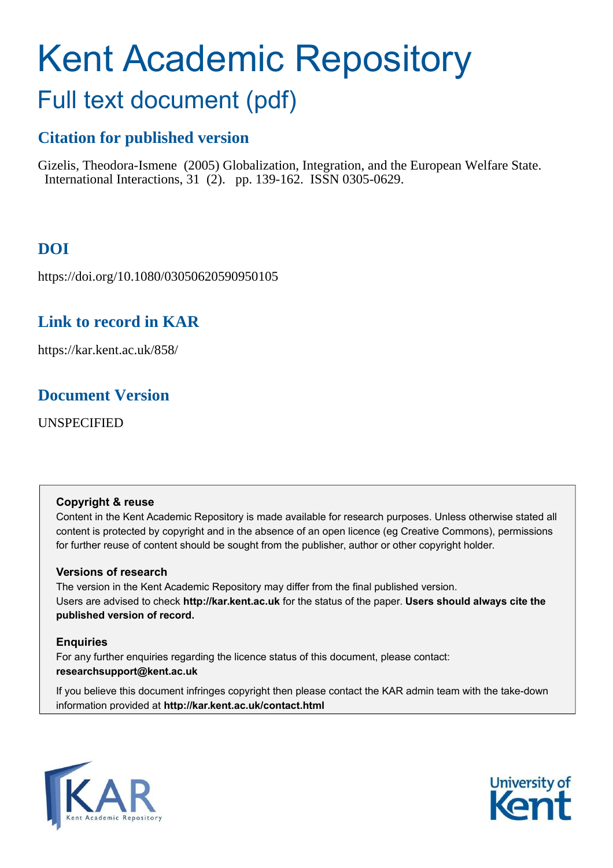# Kent Academic Repository

## Full text document (pdf)

## **Citation for published version**

Gizelis, Theodora-Ismene (2005) Globalization, Integration, and the European Welfare State. International Interactions, 31 (2). pp. 139-162. ISSN 0305-0629.

## **DOI**

https://doi.org/10.1080/03050620590950105

## **Link to record in KAR**

https://kar.kent.ac.uk/858/

### **Document Version**

UNSPECIFIED

#### **Copyright & reuse**

Content in the Kent Academic Repository is made available for research purposes. Unless otherwise stated all content is protected by copyright and in the absence of an open licence (eg Creative Commons), permissions for further reuse of content should be sought from the publisher, author or other copyright holder.

#### **Versions of research**

The version in the Kent Academic Repository may differ from the final published version. Users are advised to check **http://kar.kent.ac.uk** for the status of the paper. **Users should always cite the published version of record.**

#### **Enquiries**

For any further enquiries regarding the licence status of this document, please contact: **researchsupport@kent.ac.uk**

If you believe this document infringes copyright then please contact the KAR admin team with the take-down information provided at **http://kar.kent.ac.uk/contact.html**



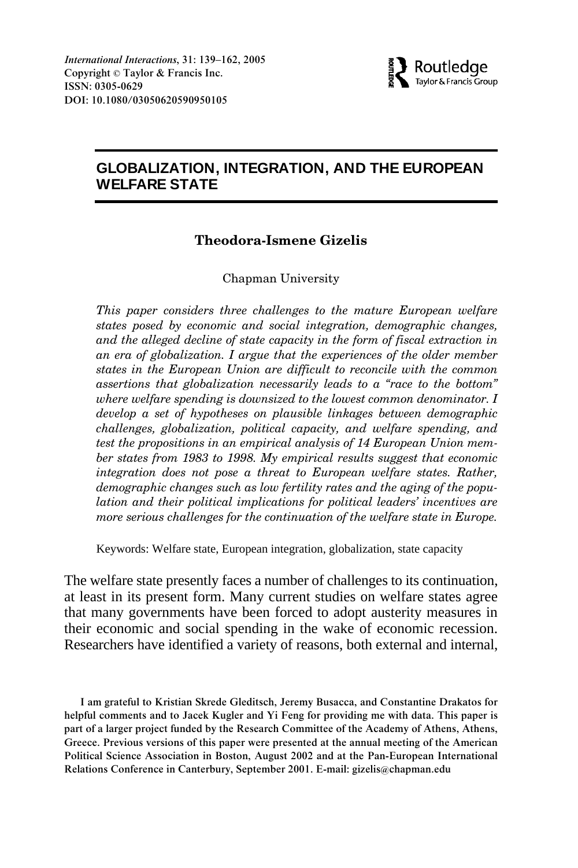the contract of the contract of the contract of the contract of the contract of the contract of the contract of



#### **GLOBALIZATION, INTEGRATION, AND THE EUROPEAN WELFARE STATE**

#### **Theodora-Ismene Gizelis**

#### Chapman University

*This paper considers three challenges to the mature European welfare states posed by economic and social integration, demographic changes, and the alleged decline of state capacity in the form of fiscal extraction in an era of globalization. I argue that the experiences of the older member states in the European Union are difficult to reconcile with the common assertions that globalization necessarily leads to a "race to the bottom" where welfare spending is downsized to the lowest common denominator. I develop a set of hypotheses on plausible linkages between demographic challenges, globalization, political capacity, and welfare spending, and test the propositions in an empirical analysis of 14 European Union member states from 1983 to 1998. My empirical results suggest that economic integration does not pose a threat to European welfare states. Rather, demographic changes such as low fertility rates and the aging of the population and their political implications for political leaders' incentives are more serious challenges for the continuation of the welfare state in Europe.*

Keywords: Welfare state, European integration, globalization, state capacity

The welfare state presently faces a number of challenges to its continuation, at least in its present form. Many current studies on welfare states agree that many governments have been forced to adopt austerity measures in their economic and social spending in the wake of economic recession. Researchers have identified a variety of reasons, both external and internal,

I am grateful to Kristian Skrede Gleditsch, Jeremy Busacca, and Constantine Drakatos for helpful comments and to Jacek Kugler and Yi Feng for providing me with data. This paper is part of a larger project funded by the Research Committee of the Academy of Athens, Athens, Greece. Previous versions of this paper were presented at the annual meeting of the American Political Science Association in Boston, August 2002 and at the Pan-European International Relations Conference in Canterbury, September 2001. E-mail: gizelis@chapman.edu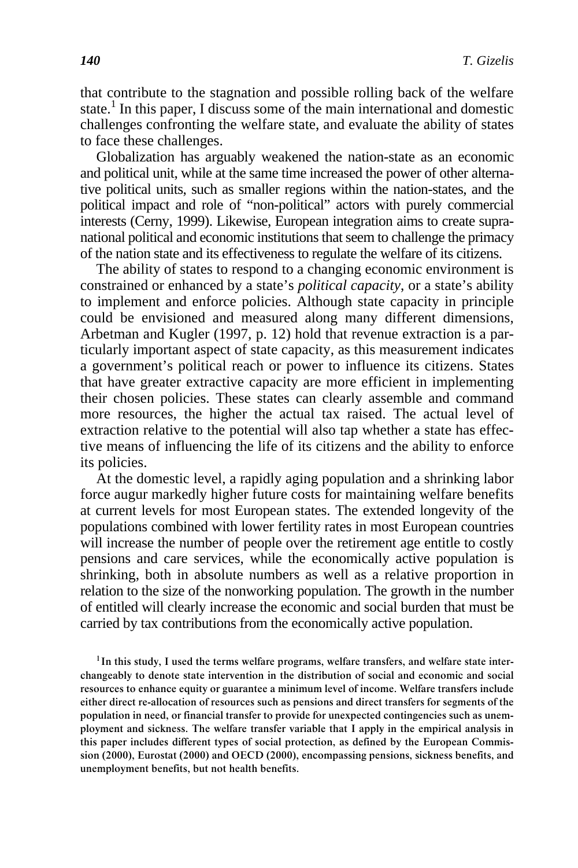that contribute to the stagnation and possible rolling back of the welfare state.<sup>1</sup> In this paper, I discuss some of the main international and domestic challenges confronting the welfare state, and evaluate the ability of states to face these challenges.

Globalization has arguably weakened the nation-state as an economic and political unit, while at the same time increased the power of other alternative political units, such as smaller regions within the nation-states, and the political impact and role of "non-political" actors with purely commercial interests (Cerny, 1999). Likewise, European integration aims to create supranational political and economic institutions that seem to challenge the primacy of the nation state and its effectiveness to regulate the welfare of its citizens.

The ability of states to respond to a changing economic environment is constrained or enhanced by a state's *political capacity*, or a state's ability to implement and enforce policies. Although state capacity in principle could be envisioned and measured along many different dimensions, Arbetman and Kugler (1997, p. 12) hold that revenue extraction is a particularly important aspect of state capacity, as this measurement indicates a government's political reach or power to influence its citizens. States that have greater extractive capacity are more efficient in implementing their chosen policies. These states can clearly assemble and command more resources, the higher the actual tax raised. The actual level of extraction relative to the potential will also tap whether a state has effective means of influencing the life of its citizens and the ability to enforce its policies.

At the domestic level, a rapidly aging population and a shrinking labor force augur markedly higher future costs for maintaining welfare benefits at current levels for most European states. The extended longevity of the populations combined with lower fertility rates in most European countries will increase the number of people over the retirement age entitle to costly pensions and care services, while the economically active population is shrinking, both in absolute numbers as well as a relative proportion in relation to the size of the nonworking population. The growth in the number of entitled will clearly increase the economic and social burden that must be carried by tax contributions from the economically active population.

<sup>1</sup>In this study, I used the terms welfare programs, welfare transfers, and welfare state interchangeably to denote state intervention in the distribution of social and economic and social resources to enhance equity or guarantee a minimum level of income. Welfare transfers include either direct re-allocation of resources such as pensions and direct transfers for segments of the population in need, or financial transfer to provide for unexpected contingencies such as unemployment and sickness. The welfare transfer variable that I apply in the empirical analysis in this paper includes different types of social protection, as defined by the European Commission (2000), Eurostat (2000) and OECD (2000), encompassing pensions, sickness benefits, and unemployment benefits, but not health benefits.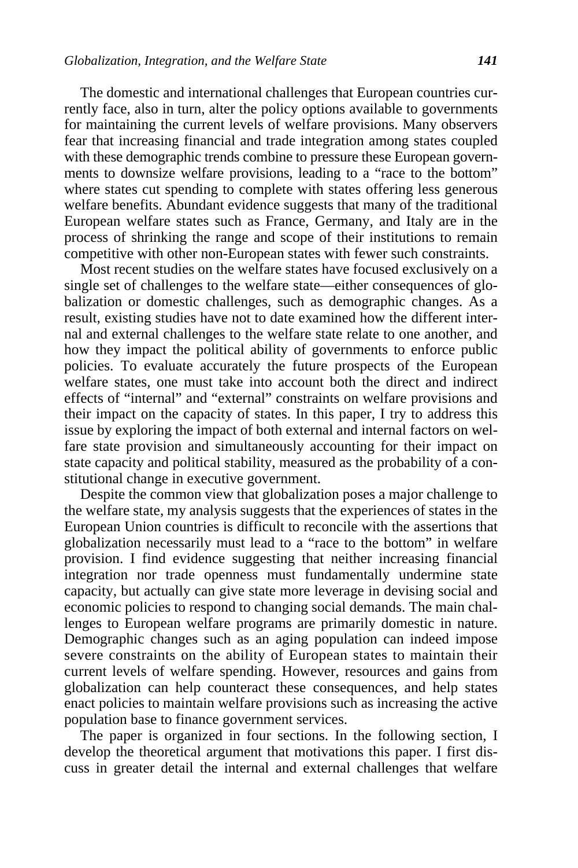The domestic and international challenges that European countries currently face, also in turn, alter the policy options available to governments for maintaining the current levels of welfare provisions. Many observers fear that increasing financial and trade integration among states coupled with these demographic trends combine to pressure these European governments to downsize welfare provisions, leading to a "race to the bottom" where states cut spending to complete with states offering less generous welfare benefits. Abundant evidence suggests that many of the traditional European welfare states such as France, Germany, and Italy are in the process of shrinking the range and scope of their institutions to remain competitive with other non-European states with fewer such constraints.

Most recent studies on the welfare states have focused exclusively on a single set of challenges to the welfare state—either consequences of globalization or domestic challenges, such as demographic changes. As a result, existing studies have not to date examined how the different internal and external challenges to the welfare state relate to one another, and how they impact the political ability of governments to enforce public policies. To evaluate accurately the future prospects of the European welfare states, one must take into account both the direct and indirect effects of "internal" and "external" constraints on welfare provisions and their impact on the capacity of states. In this paper, I try to address this issue by exploring the impact of both external and internal factors on welfare state provision and simultaneously accounting for their impact on state capacity and political stability, measured as the probability of a constitutional change in executive government.

Despite the common view that globalization poses a major challenge to the welfare state, my analysis suggests that the experiences of states in the European Union countries is difficult to reconcile with the assertions that globalization necessarily must lead to a "race to the bottom" in welfare provision. I find evidence suggesting that neither increasing financial integration nor trade openness must fundamentally undermine state capacity, but actually can give state more leverage in devising social and economic policies to respond to changing social demands. The main challenges to European welfare programs are primarily domestic in nature. Demographic changes such as an aging population can indeed impose severe constraints on the ability of European states to maintain their current levels of welfare spending. However, resources and gains from globalization can help counteract these consequences, and help states enact policies to maintain welfare provisions such as increasing the active population base to finance government services.

The paper is organized in four sections. In the following section, I develop the theoretical argument that motivations this paper. I first discuss in greater detail the internal and external challenges that welfare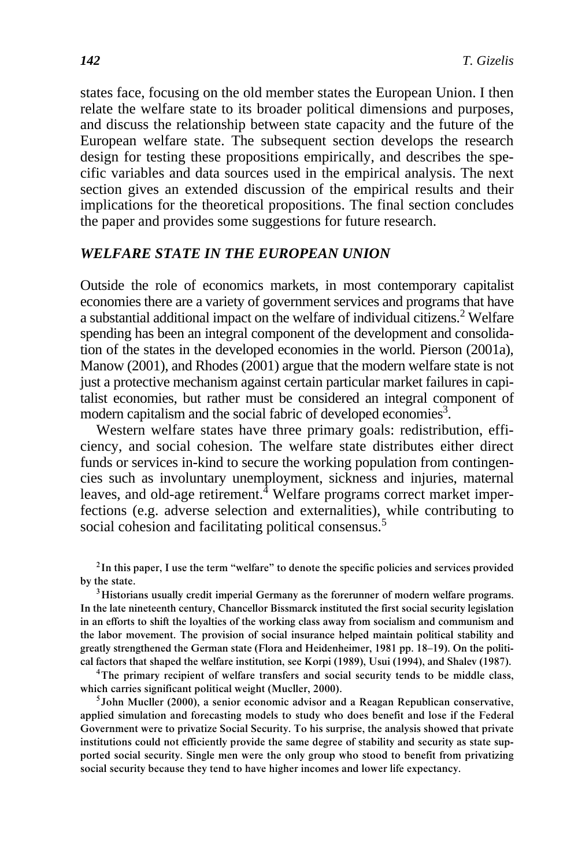states face, focusing on the old member states the European Union. I then relate the welfare state to its broader political dimensions and purposes, and discuss the relationship between state capacity and the future of the European welfare state. The subsequent section develops the research design for testing these propositions empirically, and describes the specific variables and data sources used in the empirical analysis. The next section gives an extended discussion of the empirical results and their implications for the theoretical propositions. The final section concludes the paper and provides some suggestions for future research.

#### *WELFARE STATE IN THE EUROPEAN UNION*

Outside the role of economics markets, in most contemporary capitalist economies there are a variety of government services and programs that have a substantial additional impact on the welfare of individual citizens.<sup>2</sup> Welfare spending has been an integral component of the development and consolidation of the states in the developed economies in the world. Pierson (2001a), Manow (2001), and Rhodes (2001) argue that the modern welfare state is not just a protective mechanism against certain particular market failures in capitalist economies, but rather must be considered an integral component of modern capitalism and the social fabric of developed economies<sup>3</sup>.

Western welfare states have three primary goals: redistribution, efficiency, and social cohesion. The welfare state distributes either direct funds or services in-kind to secure the working population from contingencies such as involuntary unemployment, sickness and injuries, maternal leaves, and old-age retirement.<sup>4</sup> Welfare programs correct market imperfections (e.g. adverse selection and externalities), while contributing to social cohesion and facilitating political consensus.<sup>5</sup>

 $2$ In this paper, I use the term "welfare" to denote the specific policies and services provided by the state.

<sup>3</sup>Historians usually credit imperial Germany as the forerunner of modern welfare programs. In the late nineteenth century, Chancellor Bissmarck instituted the first social security legislation in an efforts to shift the loyalties of the working class away from socialism and communism and the labor movement. The provision of social insurance helped maintain political stability and greatly strengthened the German state (Flora and Heidenheimer, 1981 pp. 18–19). On the political factors that shaped the welfare institution, see Korpi (1989), Usui (1994), and Shalev (1987).

<sup>4</sup>The primary recipient of welfare transfers and social security tends to be middle class, which carries significant political weight (Mucller, 2000).

 $<sup>5</sup>$ John Mucller (2000), a senior economic advisor and a Reagan Republican conservative,</sup> applied simulation and forecasting models to study who does benefit and lose if the Federal Government were to privatize Social Security. To his surprise, the analysis showed that private institutions could not efficiently provide the same degree of stability and security as state supported social security. Single men were the only group who stood to benefit from privatizing social security because they tend to have higher incomes and lower life expectancy.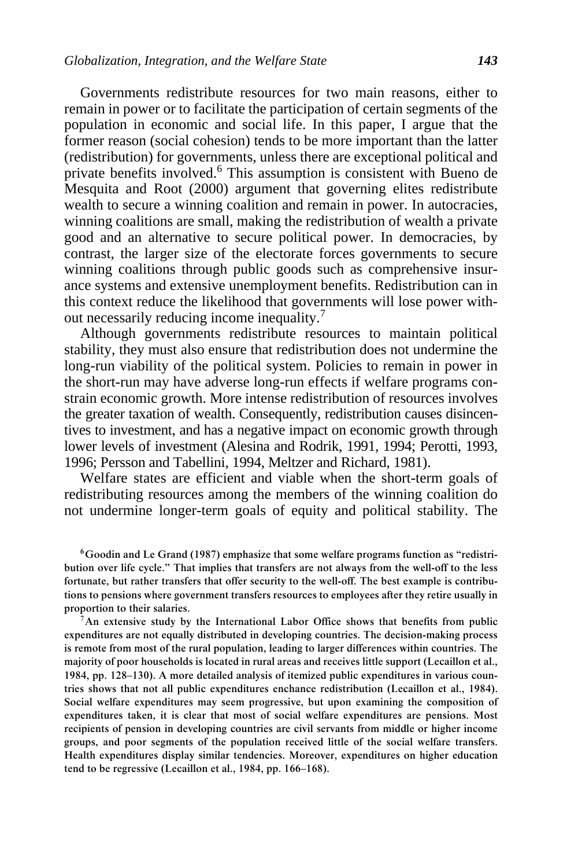Governments redistribute resources for two main reasons, either to remain in power or to facilitate the participation of certain segments of the population in economic and social life. In this paper, I argue that the former reason (social cohesion) tends to be more important than the latter (redistribution) for governments, unless there are exceptional political and private benefits involved.<sup>6</sup> This assumption is consistent with Bueno de Mesquita and Root (2000) argument that governing elites redistribute wealth to secure a winning coalition and remain in power. In autocracies, winning coalitions are small, making the redistribution of wealth a private good and an alternative to secure political power. In democracies, by contrast, the larger size of the electorate forces governments to secure winning coalitions through public goods such as comprehensive insurance systems and extensive unemployment benefits. Redistribution can in this context reduce the likelihood that governments will lose power without necessarily reducing income inequality.<sup>7</sup>

Although governments redistribute resources to maintain political stability, they must also ensure that redistribution does not undermine the long-run viability of the political system. Policies to remain in power in the short-run may have adverse long-run effects if welfare programs constrain economic growth. More intense redistribution of resources involves the greater taxation of wealth. Consequently, redistribution causes disincentives to investment, and has a negative impact on economic growth through lower levels of investment (Alesina and Rodrik, 1991, 1994; Perotti, 1993, 1996; Persson and Tabellini, 1994, Meltzer and Richard, 1981).

Welfare states are efficient and viable when the short-term goals of redistributing resources among the members of the winning coalition do not undermine longer-term goals of equity and political stability. The

 $6$ Goodin and Le Grand (1987) emphasize that some welfare programs function as "redistribution over life cycle." That implies that transfers are not always from the well-off to the less fortunate, but rather transfers that offer security to the well-off. The best example is contributions to pensions where government transfers resources to employees after they retire usually in proportion to their salaries.

 $7$ An extensive study by the International Labor Office shows that benefits from public expenditures are not equally distributed in developing countries. The decision-making process is remote from most of the rural population, leading to larger differences within countries. The majority of poor households is located in rural areas and receives little support (Lecaillon et al., 1984, pp. 128–130). A more detailed analysis of itemized public expenditures in various countries shows that not all public expenditures enchance redistribution (Lecaillon et al., 1984). Social welfare expenditures may seem progressive, but upon examining the composition of expenditures taken, it is clear that most of social welfare expenditures are pensions. Most recipients of pension in developing countries are civil servants from middle or higher income groups, and poor segments of the population received little of the social welfare transfers. Health expenditures display similar tendencies. Moreover, expenditures on higher education tend to be regressive (Lecaillon et al., 1984, pp. 166–168).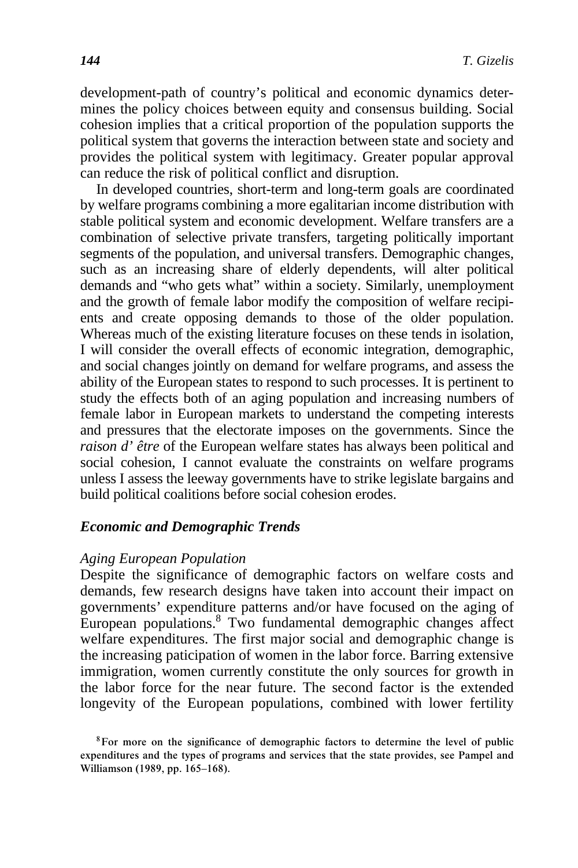development-path of country's political and economic dynamics determines the policy choices between equity and consensus building. Social cohesion implies that a critical proportion of the population supports the political system that governs the interaction between state and society and provides the political system with legitimacy. Greater popular approval can reduce the risk of political conflict and disruption.

In developed countries, short-term and long-term goals are coordinated by welfare programs combining a more egalitarian income distribution with stable political system and economic development. Welfare transfers are a combination of selective private transfers, targeting politically important segments of the population, and universal transfers. Demographic changes, such as an increasing share of elderly dependents, will alter political demands and "who gets what" within a society. Similarly, unemployment and the growth of female labor modify the composition of welfare recipients and create opposing demands to those of the older population. Whereas much of the existing literature focuses on these tends in isolation, I will consider the overall effects of economic integration, demographic, and social changes jointly on demand for welfare programs, and assess the ability of the European states to respond to such processes. It is pertinent to study the effects both of an aging population and increasing numbers of female labor in European markets to understand the competing interests and pressures that the electorate imposes on the governments. Since the *raison d' être* of the European welfare states has always been political and social cohesion, I cannot evaluate the constraints on welfare programs unless I assess the leeway governments have to strike legislate bargains and build political coalitions before social cohesion erodes.

#### *Economic and Demographic Trends*

#### *Aging European Population*

Despite the significance of demographic factors on welfare costs and demands, few research designs have taken into account their impact on governments' expenditure patterns and/or have focused on the aging of European populations.<sup>8</sup> Two fundamental demographic changes affect welfare expenditures. The first major social and demographic change is the increasing paticipation of women in the labor force. Barring extensive immigration, women currently constitute the only sources for growth in the labor force for the near future. The second factor is the extended longevity of the European populations, combined with lower fertility

 ${}^{8}$ For more on the significance of demographic factors to determine the level of public expenditures and the types of programs and services that the state provides, see Pampel and Williamson (1989, pp. 165–168).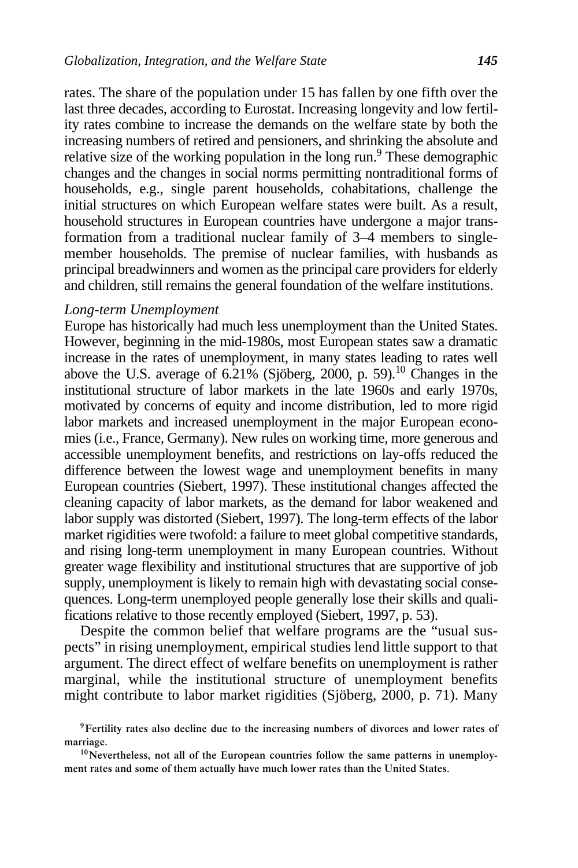rates. The share of the population under 15 has fallen by one fifth over the last three decades, according to Eurostat. Increasing longevity and low fertility rates combine to increase the demands on the welfare state by both the increasing numbers of retired and pensioners, and shrinking the absolute and relative size of the working population in the long run.<sup>9</sup> These demographic changes and the changes in social norms permitting nontraditional forms of households, e.g., single parent households, cohabitations, challenge the initial structures on which European welfare states were built. As a result, household structures in European countries have undergone a major transformation from a traditional nuclear family of 3–4 members to singlemember households. The premise of nuclear families, with husbands as principal breadwinners and women as the principal care providers for elderly and children, still remains the general foundation of the welfare institutions.

#### *Long-term Unemployment*

Europe has historically had much less unemployment than the United States. However, beginning in the mid-1980s, most European states saw a dramatic increase in the rates of unemployment, in many states leading to rates well above the U.S. average of  $6.21\%$  (Sjöberg, 2000, p. 59).<sup>10</sup> Changes in the institutional structure of labor markets in the late 1960s and early 1970s, motivated by concerns of equity and income distribution, led to more rigid labor markets and increased unemployment in the major European economies (i.e., France, Germany). New rules on working time, more generous and accessible unemployment benefits, and restrictions on lay-offs reduced the difference between the lowest wage and unemployment benefits in many European countries (Siebert, 1997). These institutional changes affected the cleaning capacity of labor markets, as the demand for labor weakened and labor supply was distorted (Siebert, 1997). The long-term effects of the labor market rigidities were twofold: a failure to meet global competitive standards, and rising long-term unemployment in many European countries. Without greater wage flexibility and institutional structures that are supportive of job supply, unemployment is likely to remain high with devastating social consequences. Long-term unemployed people generally lose their skills and qualifications relative to those recently employed (Siebert, 1997, p. 53).

Despite the common belief that welfare programs are the "usual suspects" in rising unemployment, empirical studies lend little support to that argument. The direct effect of welfare benefits on unemployment is rather marginal, while the institutional structure of unemployment benefits might contribute to labor market rigidities (Sjöberg, 2000, p. 71). Many

<sup>9</sup>Fertility rates also decline due to the increasing numbers of divorces and lower rates of marriage.

<sup>&</sup>lt;sup>10</sup>Nevertheless, not all of the European countries follow the same patterns in unemployment rates and some of them actually have much lower rates than the United States.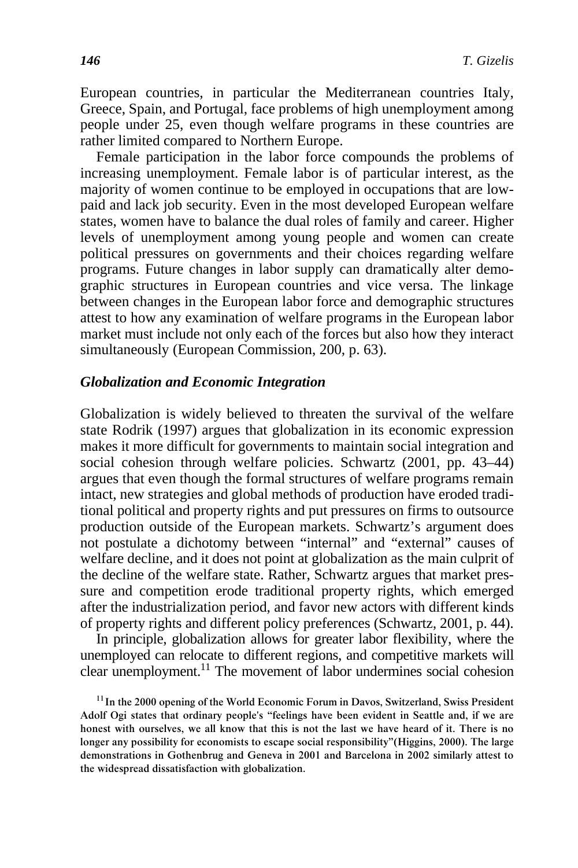European countries, in particular the Mediterranean countries Italy, Greece, Spain, and Portugal, face problems of high unemployment among people under 25, even though welfare programs in these countries are rather limited compared to Northern Europe.

Female participation in the labor force compounds the problems of increasing unemployment. Female labor is of particular interest, as the majority of women continue to be employed in occupations that are lowpaid and lack job security. Even in the most developed European welfare states, women have to balance the dual roles of family and career. Higher levels of unemployment among young people and women can create political pressures on governments and their choices regarding welfare programs. Future changes in labor supply can dramatically alter demographic structures in European countries and vice versa. The linkage between changes in the European labor force and demographic structures attest to how any examination of welfare programs in the European labor market must include not only each of the forces but also how they interact simultaneously (European Commission, 200, p. 63).

#### *Globalization and Economic Integration*

Globalization is widely believed to threaten the survival of the welfare state Rodrik (1997) argues that globalization in its economic expression makes it more difficult for governments to maintain social integration and social cohesion through welfare policies. Schwartz (2001, pp. 43–44) argues that even though the formal structures of welfare programs remain intact, new strategies and global methods of production have eroded traditional political and property rights and put pressures on firms to outsource production outside of the European markets. Schwartz's argument does not postulate a dichotomy between "internal" and "external" causes of welfare decline, and it does not point at globalization as the main culprit of the decline of the welfare state. Rather, Schwartz argues that market pressure and competition erode traditional property rights, which emerged after the industrialization period, and favor new actors with different kinds of property rights and different policy preferences (Schwartz, 2001, p. 44).

In principle, globalization allows for greater labor flexibility, where the unemployed can relocate to different regions, and competitive markets will clear unemployment.<sup>11</sup> The movement of labor undermines social cohesion

 $<sup>11</sup>$  In the 2000 opening of the World Economic Forum in Davos, Switzerland, Swiss President</sup> Adolf Ogi states that ordinary people's "feelings have been evident in Seattle and, if we are honest with ourselves, we all know that this is not the last we have heard of it. There is no longer any possibility for economists to escape social responsibility"(Higgins, 2000). The large demonstrations in Gothenbrug and Geneva in 2001 and Barcelona in 2002 similarly attest to the widespread dissatisfaction with globalization.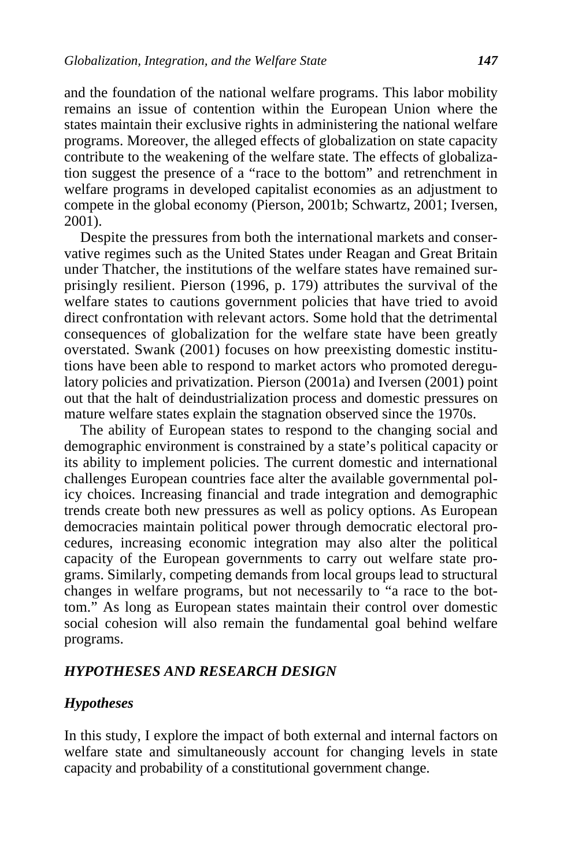and the foundation of the national welfare programs. This labor mobility remains an issue of contention within the European Union where the states maintain their exclusive rights in administering the national welfare programs. Moreover, the alleged effects of globalization on state capacity contribute to the weakening of the welfare state. The effects of globalization suggest the presence of a "race to the bottom" and retrenchment in welfare programs in developed capitalist economies as an adjustment to compete in the global economy (Pierson, 2001b; Schwartz, 2001; Iversen, 2001).

Despite the pressures from both the international markets and conservative regimes such as the United States under Reagan and Great Britain under Thatcher, the institutions of the welfare states have remained surprisingly resilient. Pierson (1996, p. 179) attributes the survival of the welfare states to cautions government policies that have tried to avoid direct confrontation with relevant actors. Some hold that the detrimental consequences of globalization for the welfare state have been greatly overstated. Swank (2001) focuses on how preexisting domestic institutions have been able to respond to market actors who promoted deregulatory policies and privatization. Pierson (2001a) and Iversen (2001) point out that the halt of deindustrialization process and domestic pressures on mature welfare states explain the stagnation observed since the 1970s.

The ability of European states to respond to the changing social and demographic environment is constrained by a state's political capacity or its ability to implement policies. The current domestic and international challenges European countries face alter the available governmental policy choices. Increasing financial and trade integration and demographic trends create both new pressures as well as policy options. As European democracies maintain political power through democratic electoral procedures, increasing economic integration may also alter the political capacity of the European governments to carry out welfare state programs. Similarly, competing demands from local groups lead to structural changes in welfare programs, but not necessarily to "a race to the bottom." As long as European states maintain their control over domestic social cohesion will also remain the fundamental goal behind welfare programs.

#### *HYPOTHESES AND RESEARCH DESIGN*

#### *Hypotheses*

In this study, I explore the impact of both external and internal factors on welfare state and simultaneously account for changing levels in state capacity and probability of a constitutional government change.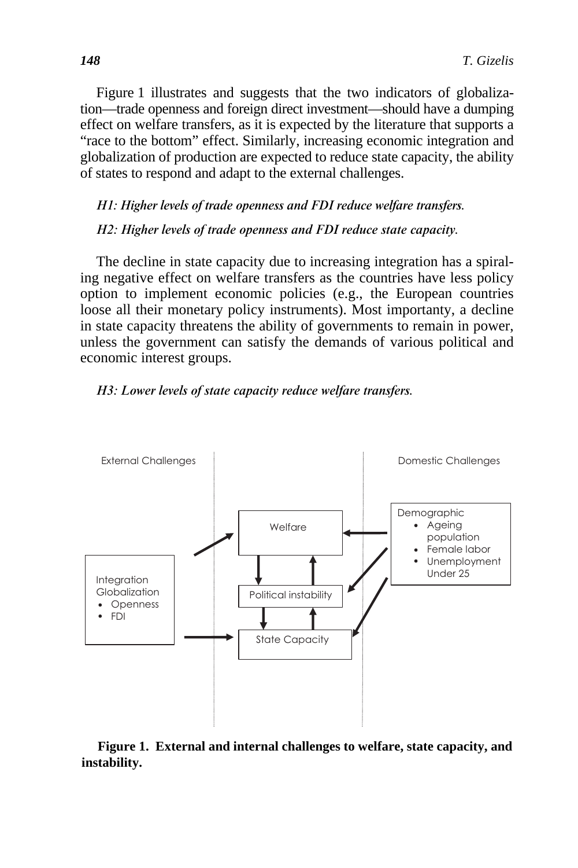Figure 1 illustrates and suggests that the two indicators of globalization—trade openness and foreign direct investment—should have a dumping effect on welfare transfers, as it is expected by the literature that supports a "race to the bottom" effect. Similarly, increasing economic integration and globalization of production are expected to reduce state capacity, the ability of states to respond and adapt to the external challenges.

#### *H1: Higher levels of trade openness and FDI reduce welfare transfers.*

#### *H2: Higher levels of trade openness and FDI reduce state capacity.*

The decline in state capacity due to increasing integration has a spiraling negative effect on welfare transfers as the countries have less policy option to implement economic policies (e.g., the European countries loose all their monetary policy instruments). Most importanty, a decline in state capacity threatens the ability of governments to remain in power, unless the government can satisfy the demands of various political and economic interest groups.

#### *H3: Lower levels of state capacity reduce welfare transfers.*



**Figure 1. External and internal challenges to welfare, state capacity, and instability.**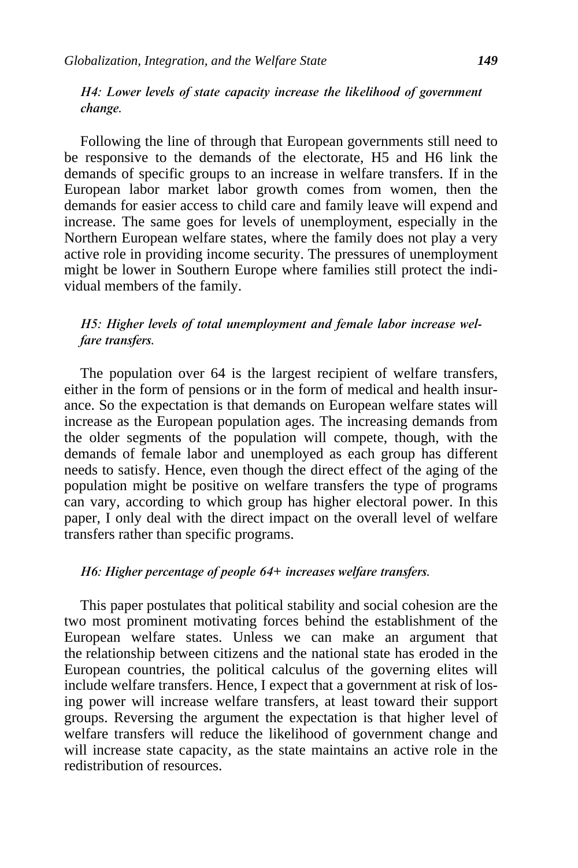*H4: Lower levels of state capacity increase the likelihood of government change.*

Following the line of through that European governments still need to be responsive to the demands of the electorate, H5 and H6 link the demands of specific groups to an increase in welfare transfers. If in the European labor market labor growth comes from women, then the demands for easier access to child care and family leave will expend and increase. The same goes for levels of unemployment, especially in the Northern European welfare states, where the family does not play a very active role in providing income security. The pressures of unemployment might be lower in Southern Europe where families still protect the individual members of the family.

*H5: Higher levels of total unemployment and female labor increase welfare transfers.*

The population over 64 is the largest recipient of welfare transfers, either in the form of pensions or in the form of medical and health insurance. So the expectation is that demands on European welfare states will increase as the European population ages. The increasing demands from the older segments of the population will compete, though, with the demands of female labor and unemployed as each group has different needs to satisfy. Hence, even though the direct effect of the aging of the population might be positive on welfare transfers the type of programs can vary, according to which group has higher electoral power. In this paper, I only deal with the direct impact on the overall level of welfare transfers rather than specific programs.

#### *H6: Higher percentage of people 64*+ *increases welfare transfers.*

This paper postulates that political stability and social cohesion are the two most prominent motivating forces behind the establishment of the European welfare states. Unless we can make an argument that the relationship between citizens and the national state has eroded in the European countries, the political calculus of the governing elites will include welfare transfers. Hence, I expect that a government at risk of losing power will increase welfare transfers, at least toward their support groups. Reversing the argument the expectation is that higher level of welfare transfers will reduce the likelihood of government change and will increase state capacity, as the state maintains an active role in the redistribution of resources.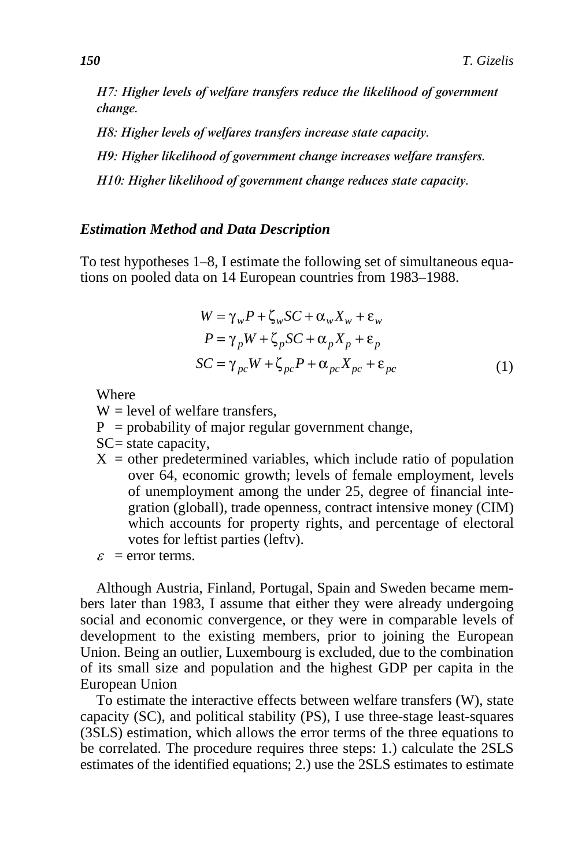*H7: Higher levels of welfare transfers reduce the likelihood of government change.*

*H8: Higher levels of welfares transfers increase state capacity.*

*H9: Higher likelihood of government change increases welfare transfers.*

*H10: Higher likelihood of government change reduces state capacity.*

#### *Estimation Method and Data Description*

To test hypotheses 1–8, I estimate the following set of simultaneous equations on pooled data on 14 European countries from 1983–1988.

$$
W = \gamma_w P + \zeta_w SC + \alpha_w X_w + \varepsilon_w
$$
  
\n
$$
P = \gamma_p W + \zeta_p SC + \alpha_p X_p + \varepsilon_p
$$
  
\n
$$
SC = \gamma_{pc} W + \zeta_{pc} P + \alpha_{pc} X_{pc} + \varepsilon_{pc}
$$
\n(1)

Where

 $W = level of welfare transfers,$ 

- $P =$  probability of major regular government change,
- SC= state capacity,
- $X =$  other predetermined variables, which include ratio of population over 64, economic growth; levels of female employment, levels of unemployment among the under 25, degree of financial integration (globall), trade openness, contract intensive money (CIM) which accounts for property rights, and percentage of electoral votes for leftist parties (leftv).
- $\varepsilon$  = error terms.

Although Austria, Finland, Portugal, Spain and Sweden became members later than 1983, I assume that either they were already undergoing social and economic convergence, or they were in comparable levels of development to the existing members, prior to joining the European Union. Being an outlier, Luxembourg is excluded, due to the combination of its small size and population and the highest GDP per capita in the European Union

To estimate the interactive effects between welfare transfers (W), state capacity (SC), and political stability (PS), I use three-stage least-squares (3SLS) estimation, which allows the error terms of the three equations to be correlated. The procedure requires three steps: 1.) calculate the 2SLS estimates of the identified equations; 2.) use the 2SLS estimates to estimate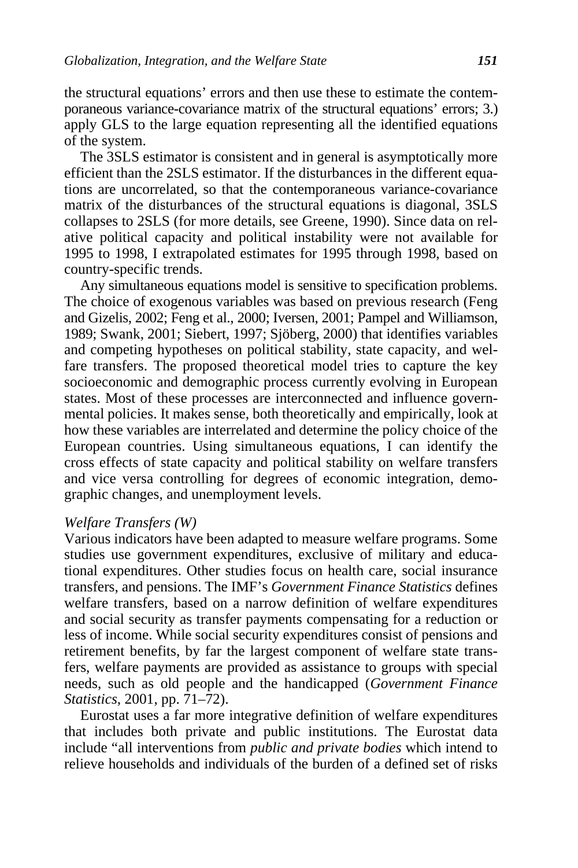the structural equations' errors and then use these to estimate the contemporaneous variance-covariance matrix of the structural equations' errors; 3.) apply GLS to the large equation representing all the identified equations of the system.

The 3SLS estimator is consistent and in general is asymptotically more efficient than the 2SLS estimator. If the disturbances in the different equations are uncorrelated, so that the contemporaneous variance-covariance matrix of the disturbances of the structural equations is diagonal, 3SLS collapses to 2SLS (for more details, see Greene, 1990). Since data on relative political capacity and political instability were not available for 1995 to 1998, I extrapolated estimates for 1995 through 1998, based on country-specific trends.

Any simultaneous equations model is sensitive to specification problems. The choice of exogenous variables was based on previous research (Feng and Gizelis, 2002; Feng et al., 2000; Iversen, 2001; Pampel and Williamson, 1989; Swank, 2001; Siebert, 1997; Sjöberg, 2000) that identifies variables and competing hypotheses on political stability, state capacity, and welfare transfers. The proposed theoretical model tries to capture the key socioeconomic and demographic process currently evolving in European states. Most of these processes are interconnected and influence governmental policies. It makes sense, both theoretically and empirically, look at how these variables are interrelated and determine the policy choice of the European countries. Using simultaneous equations, I can identify the cross effects of state capacity and political stability on welfare transfers and vice versa controlling for degrees of economic integration, demographic changes, and unemployment levels.

#### *Welfare Transfers (W)*

Various indicators have been adapted to measure welfare programs. Some studies use government expenditures, exclusive of military and educational expenditures. Other studies focus on health care, social insurance transfers, and pensions. The IMF's *Government Finance Statistics* defines welfare transfers, based on a narrow definition of welfare expenditures and social security as transfer payments compensating for a reduction or less of income. While social security expenditures consist of pensions and retirement benefits, by far the largest component of welfare state transfers, welfare payments are provided as assistance to groups with special needs, such as old people and the handicapped (*Government Finance Statistics*, 2001, pp. 71–72).

Eurostat uses a far more integrative definition of welfare expenditures that includes both private and public institutions. The Eurostat data include "all interventions from *public and private bodies* which intend to relieve households and individuals of the burden of a defined set of risks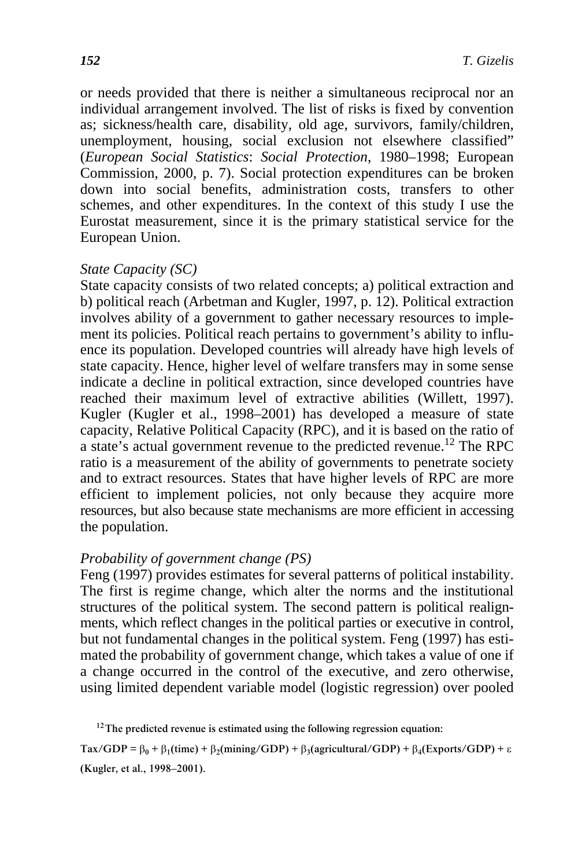or needs provided that there is neither a simultaneous reciprocal nor an individual arrangement involved. The list of risks is fixed by convention as; sickness/health care, disability, old age, survivors, family/children, unemployment, housing, social exclusion not elsewhere classified" (*European Social Statistics*: *Social Protection*, 1980–1998; European Commission, 2000, p. 7). Social protection expenditures can be broken down into social benefits, administration costs, transfers to other schemes, and other expenditures. In the context of this study I use the Eurostat measurement, since it is the primary statistical service for the European Union.

#### *State Capacity (SC)*

State capacity consists of two related concepts; a) political extraction and b) political reach (Arbetman and Kugler, 1997, p. 12). Political extraction involves ability of a government to gather necessary resources to implement its policies. Political reach pertains to government's ability to influence its population. Developed countries will already have high levels of state capacity. Hence, higher level of welfare transfers may in some sense indicate a decline in political extraction, since developed countries have reached their maximum level of extractive abilities (Willett, 1997). Kugler (Kugler et al., 1998–2001) has developed a measure of state capacity, Relative Political Capacity (RPC), and it is based on the ratio of a state's actual government revenue to the predicted revenue.<sup>12</sup> The RPC ratio is a measurement of the ability of governments to penetrate society and to extract resources. States that have higher levels of RPC are more efficient to implement policies, not only because they acquire more resources, but also because state mechanisms are more efficient in accessing the population.

#### *Probability of government change (PS)*

Feng (1997) provides estimates for several patterns of political instability. The first is regime change, which alter the norms and the institutional structures of the political system. The second pattern is political realignments, which reflect changes in the political parties or executive in control, but not fundamental changes in the political system. Feng (1997) has estimated the probability of government change, which takes a value of one if a change occurred in the control of the executive, and zero otherwise, using limited dependent variable model (logistic regression) over pooled

 $12$ The predicted revenue is estimated using the following regression equation:

Tax/GDP =  $\beta_0 + \beta_1$ (time) +  $\beta_2$ (mining/GDP) +  $\beta_3$ (agricultural/GDP) +  $\beta_4$ (Exports/GDP) +  $\varepsilon$ (Kugler, et al., 1998–2001).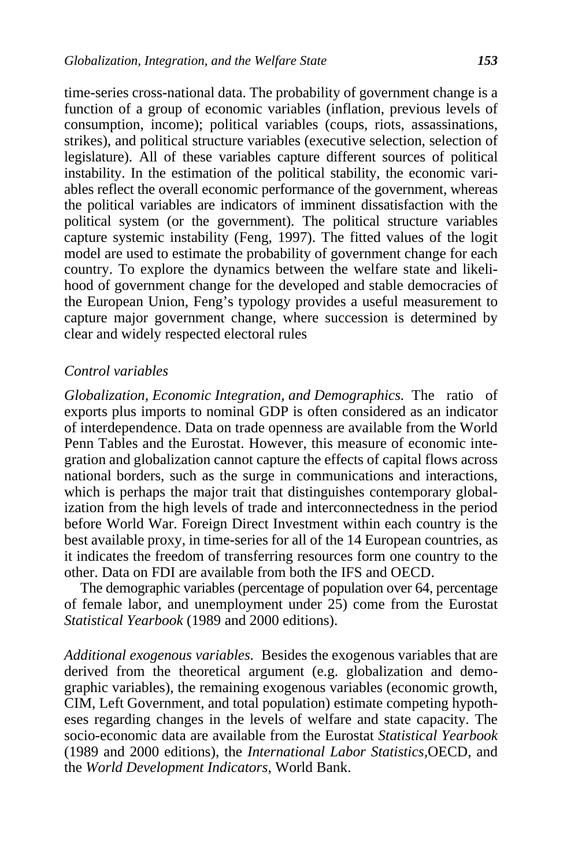time-series cross-national data. The probability of government change is a function of a group of economic variables (inflation, previous levels of consumption, income); political variables (coups, riots, assassinations, strikes), and political structure variables (executive selection, selection of legislature). All of these variables capture different sources of political instability. In the estimation of the political stability, the economic variables reflect the overall economic performance of the government, whereas the political variables are indicators of imminent dissatisfaction with the political system (or the government). The political structure variables capture systemic instability (Feng, 1997). The fitted values of the logit model are used to estimate the probability of government change for each country. To explore the dynamics between the welfare state and likelihood of government change for the developed and stable democracies of the European Union, Feng's typology provides a useful measurement to capture major government change, where succession is determined by clear and widely respected electoral rules

#### *Control variables*

*Globalization, Economic Integration, and Demographics.* The ratio of exports plus imports to nominal GDP is often considered as an indicator of interdependence. Data on trade openness are available from the World Penn Tables and the Eurostat. However, this measure of economic integration and globalization cannot capture the effects of capital flows across national borders, such as the surge in communications and interactions, which is perhaps the major trait that distinguishes contemporary globalization from the high levels of trade and interconnectedness in the period before World War. Foreign Direct Investment within each country is the best available proxy, in time-series for all of the 14 European countries, as it indicates the freedom of transferring resources form one country to the other. Data on FDI are available from both the IFS and OECD.

The demographic variables (percentage of population over 64, percentage of female labor, and unemployment under 25) come from the Eurostat *Statistical Yearbook* (1989 and 2000 editions).

*Additional exogenous variables.* Besides the exogenous variables that are derived from the theoretical argument (e.g. globalization and demographic variables), the remaining exogenous variables (economic growth, CIM, Left Government, and total population) estimate competing hypotheses regarding changes in the levels of welfare and state capacity. The socio-economic data are available from the Eurostat *Statistical Yearbook* (1989 and 2000 editions), the *International Labor Statistics,*OECD, and the *World Development Indicators*, World Bank.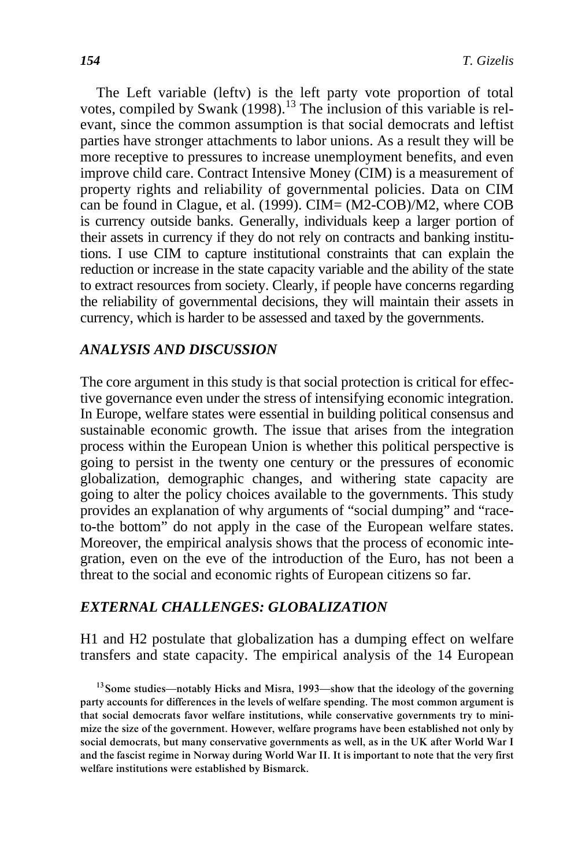The Left variable (leftv) is the left party vote proportion of total votes, compiled by Swank  $(1998)$ .<sup>13</sup> The inclusion of this variable is relevant, since the common assumption is that social democrats and leftist parties have stronger attachments to labor unions. As a result they will be more receptive to pressures to increase unemployment benefits, and even improve child care. Contract Intensive Money (CIM) is a measurement of property rights and reliability of governmental policies. Data on CIM can be found in Clague, et al. (1999). CIM= (M2-COB)/M2, where COB is currency outside banks. Generally, individuals keep a larger portion of their assets in currency if they do not rely on contracts and banking institutions. I use CIM to capture institutional constraints that can explain the reduction or increase in the state capacity variable and the ability of the state to extract resources from society. Clearly, if people have concerns regarding the reliability of governmental decisions, they will maintain their assets in currency, which is harder to be assessed and taxed by the governments.

#### *ANALYSIS AND DISCUSSION*

The core argument in this study is that social protection is critical for effective governance even under the stress of intensifying economic integration. In Europe, welfare states were essential in building political consensus and sustainable economic growth. The issue that arises from the integration process within the European Union is whether this political perspective is going to persist in the twenty one century or the pressures of economic globalization, demographic changes, and withering state capacity are going to alter the policy choices available to the governments. This study provides an explanation of why arguments of "social dumping" and "raceto-the bottom" do not apply in the case of the European welfare states. Moreover, the empirical analysis shows that the process of economic integration, even on the eve of the introduction of the Euro, has not been a threat to the social and economic rights of European citizens so far.

#### *EXTERNAL CHALLENGES: GLOBALIZATION*

H1 and H2 postulate that globalization has a dumping effect on welfare transfers and state capacity. The empirical analysis of the 14 European

<sup>13</sup> Some studies—notably Hicks and Misra, 1993—show that the ideology of the governing party accounts for differences in the levels of welfare spending. The most common argument is that social democrats favor welfare institutions, while conservative governments try to minimize the size of the government. However, welfare programs have been established not only by social democrats, but many conservative governments as well, as in the UK after World War I and the fascist regime in Norway during World War II. It is important to note that the very first welfare institutions were established by Bismarck.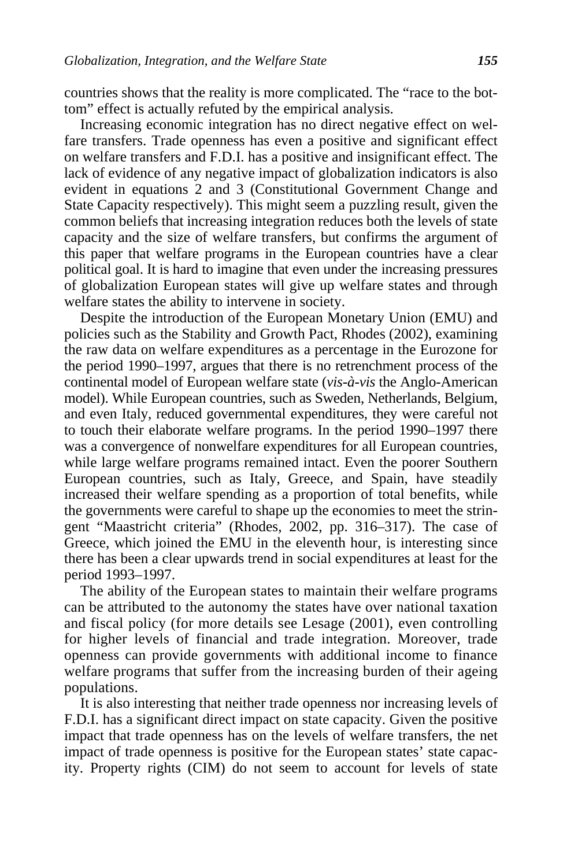countries shows that the reality is more complicated. The "race to the bottom" effect is actually refuted by the empirical analysis.

Increasing economic integration has no direct negative effect on welfare transfers. Trade openness has even a positive and significant effect on welfare transfers and F.D.I. has a positive and insignificant effect. The lack of evidence of any negative impact of globalization indicators is also evident in equations 2 and 3 (Constitutional Government Change and State Capacity respectively). This might seem a puzzling result, given the common beliefs that increasing integration reduces both the levels of state capacity and the size of welfare transfers, but confirms the argument of this paper that welfare programs in the European countries have a clear political goal. It is hard to imagine that even under the increasing pressures of globalization European states will give up welfare states and through welfare states the ability to intervene in society.

Despite the introduction of the European Monetary Union (EMU) and policies such as the Stability and Growth Pact, Rhodes (2002), examining the raw data on welfare expenditures as a percentage in the Eurozone for the period 1990–1997, argues that there is no retrenchment process of the continental model of European welfare state (*vis-à-vis* the Anglo-American model). While European countries, such as Sweden, Netherlands, Belgium, and even Italy, reduced governmental expenditures, they were careful not to touch their elaborate welfare programs. In the period 1990–1997 there was a convergence of nonwelfare expenditures for all European countries, while large welfare programs remained intact. Even the poorer Southern European countries, such as Italy, Greece, and Spain, have steadily increased their welfare spending as a proportion of total benefits, while the governments were careful to shape up the economies to meet the stringent "Maastricht criteria" (Rhodes, 2002, pp. 316–317). The case of Greece, which joined the EMU in the eleventh hour, is interesting since there has been a clear upwards trend in social expenditures at least for the period 1993–1997.

The ability of the European states to maintain their welfare programs can be attributed to the autonomy the states have over national taxation and fiscal policy (for more details see Lesage (2001), even controlling for higher levels of financial and trade integration. Moreover, trade openness can provide governments with additional income to finance welfare programs that suffer from the increasing burden of their ageing populations.

It is also interesting that neither trade openness nor increasing levels of F.D.I. has a significant direct impact on state capacity. Given the positive impact that trade openness has on the levels of welfare transfers, the net impact of trade openness is positive for the European states' state capacity. Property rights (CIM) do not seem to account for levels of state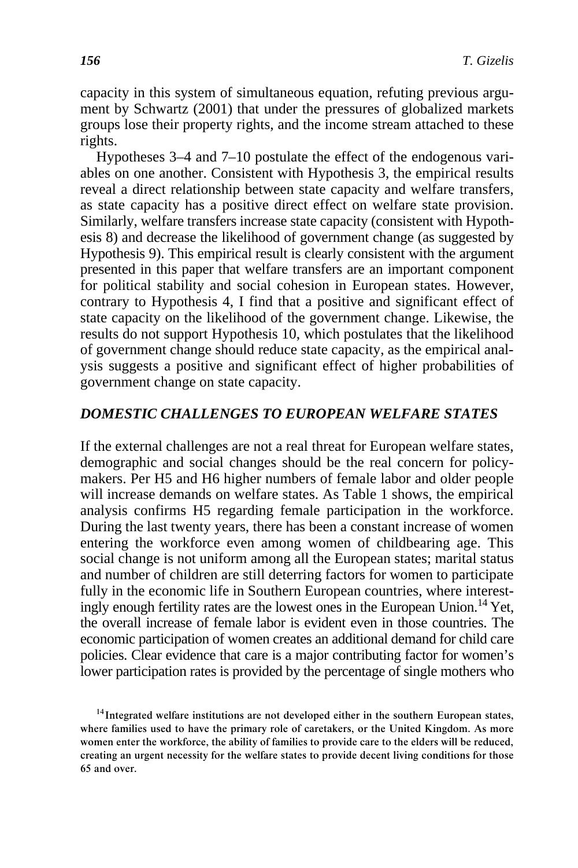capacity in this system of simultaneous equation, refuting previous argument by Schwartz (2001) that under the pressures of globalized markets groups lose their property rights, and the income stream attached to these rights.

Hypotheses 3–4 and 7–10 postulate the effect of the endogenous variables on one another. Consistent with Hypothesis 3, the empirical results reveal a direct relationship between state capacity and welfare transfers, as state capacity has a positive direct effect on welfare state provision. Similarly, welfare transfers increase state capacity (consistent with Hypothesis 8) and decrease the likelihood of government change (as suggested by Hypothesis 9). This empirical result is clearly consistent with the argument presented in this paper that welfare transfers are an important component for political stability and social cohesion in European states. However, contrary to Hypothesis 4, I find that a positive and significant effect of state capacity on the likelihood of the government change. Likewise, the results do not support Hypothesis 10, which postulates that the likelihood of government change should reduce state capacity, as the empirical analysis suggests a positive and significant effect of higher probabilities of government change on state capacity.

#### *DOMESTIC CHALLENGES TO EUROPEAN WELFARE STATES*

If the external challenges are not a real threat for European welfare states, demographic and social changes should be the real concern for policymakers. Per H5 and H6 higher numbers of female labor and older people will increase demands on welfare states. As Table 1 shows, the empirical analysis confirms H5 regarding female participation in the workforce. During the last twenty years, there has been a constant increase of women entering the workforce even among women of childbearing age. This social change is not uniform among all the European states; marital status and number of children are still deterring factors for women to participate fully in the economic life in Southern European countries, where interestingly enough fertility rates are the lowest ones in the European Union.<sup>14</sup> Yet, the overall increase of female labor is evident even in those countries. The economic participation of women creates an additional demand for child care policies. Clear evidence that care is a major contributing factor for women's lower participation rates is provided by the percentage of single mothers who

<sup>&</sup>lt;sup>14</sup>Integrated welfare institutions are not developed either in the southern European states, where families used to have the primary role of caretakers, or the United Kingdom. As more women enter the workforce, the ability of families to provide care to the elders will be reduced, creating an urgent necessity for the welfare states to provide decent living conditions for those 65 and over.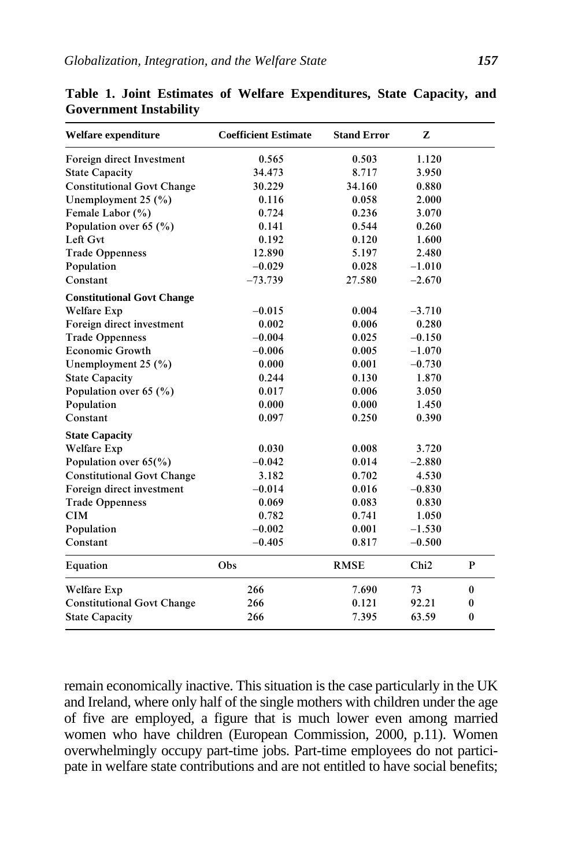| Welfare expenditure               | <b>Coefficient Estimate</b> | <b>Stand Error</b> | Z                |              |
|-----------------------------------|-----------------------------|--------------------|------------------|--------------|
| Foreign direct Investment         | 0.565                       | 0.503              | 1.120            |              |
| <b>State Capacity</b>             | 34.473                      | 8.717              | 3.950            |              |
| <b>Constitutional Govt Change</b> | 30.229                      | 34.160             | 0.880            |              |
| Unemployment 25 $(\% )$           | 0.116                       | 0.058              | 2.000            |              |
| Female Labor (%)                  | 0.724                       | 0.236              | 3.070            |              |
| Population over 65 $(\% )$        | 0.141                       | 0.544              | 0.260            |              |
| Left Gvt                          | 0.192                       | 0.120              | 1.600            |              |
| <b>Trade Oppenness</b>            | 12.890                      | 5.197              | 2.480            |              |
| Population                        | $-0.029$                    | 0.028              | $-1.010$         |              |
| Constant                          | $-73.739$                   | 27.580             | $-2.670$         |              |
| <b>Constitutional Govt Change</b> |                             |                    |                  |              |
| Welfare Exp                       | $-0.015$                    | 0.004              | $-3.710$         |              |
| Foreign direct investment         | 0.002                       | 0.006              | 0.280            |              |
| <b>Trade Oppenness</b>            | $-0.004$                    | 0.025              | $-0.150$         |              |
| <b>Economic Growth</b>            | $-0.006$                    | 0.005              | $-1.070$         |              |
| Unemployment 25 (%)               | 0.000                       | 0.001              | $-0.730$         |              |
| <b>State Capacity</b>             | 0.244                       | 0.130              | 1.870            |              |
| Population over 65 $(\%$ )        | 0.017                       | 0.006              | 3.050            |              |
| Population                        | 0.000                       | 0.000              | 1.450            |              |
| Constant                          | 0.097                       | 0.250              | 0.390            |              |
| <b>State Capacity</b>             |                             |                    |                  |              |
| Welfare Exp                       | 0.030                       | 0.008              | 3.720            |              |
| Population over $65\frac{6}{6}$   | $-0.042$                    | 0.014              | $-2.880$         |              |
| <b>Constitutional Govt Change</b> | 3.182                       | 0.702              | 4.530            |              |
| Foreign direct investment         | $-0.014$                    | 0.016              | $-0.830$         |              |
| <b>Trade Oppenness</b>            | 0.069                       | 0.083              | 0.830            |              |
| <b>CIM</b>                        | 0.782                       | 0.741              | 1.050            |              |
| Population                        | $-0.002$                    | 0.001              | $-1.530$         |              |
| Constant                          | $-0.405$                    | 0.817              | $-0.500$         |              |
| Equation                          | Obs                         | <b>RMSE</b>        | Chi <sub>2</sub> | $\mathbf{P}$ |
| Welfare Exp                       | 266                         | 7.690              | 73               | $\bf{0}$     |
| <b>Constitutional Govt Change</b> | 266                         | 0.121              | 92.21            | $\bf{0}$     |
| <b>State Capacity</b>             | 266                         | 7.395              | 63.59            | $\bf{0}$     |
|                                   |                             |                    |                  |              |

**Table 1. Joint Estimates of Welfare Expenditures, State Capacity, and Government Instability**

remain economically inactive. This situation is the case particularly in the UK and Ireland, where only half of the single mothers with children under the age of five are employed, a figure that is much lower even among married women who have children (European Commission, 2000, p.11). Women overwhelmingly occupy part-time jobs. Part-time employees do not participate in welfare state contributions and are not entitled to have social benefits;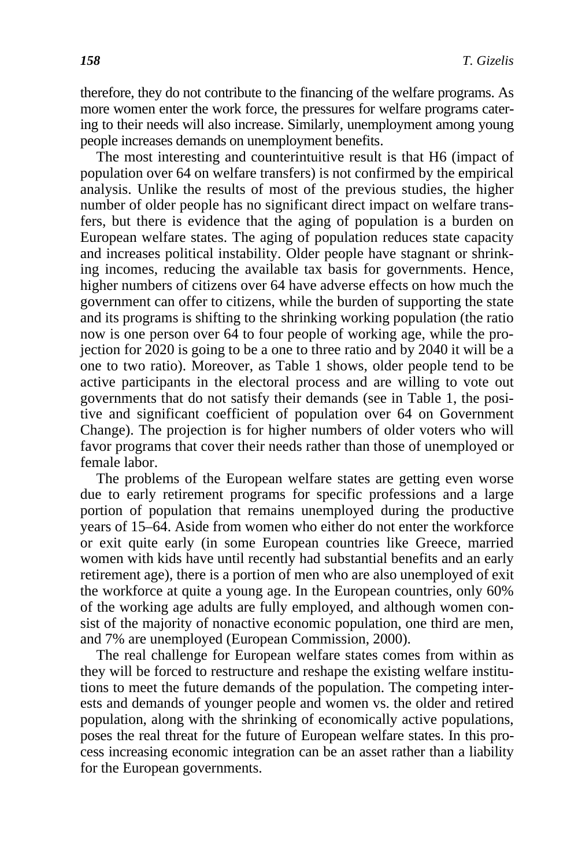therefore, they do not contribute to the financing of the welfare programs. As more women enter the work force, the pressures for welfare programs catering to their needs will also increase. Similarly, unemployment among young people increases demands on unemployment benefits.

The most interesting and counterintuitive result is that H6 (impact of population over 64 on welfare transfers) is not confirmed by the empirical analysis. Unlike the results of most of the previous studies, the higher number of older people has no significant direct impact on welfare transfers, but there is evidence that the aging of population is a burden on European welfare states. The aging of population reduces state capacity and increases political instability. Older people have stagnant or shrinking incomes, reducing the available tax basis for governments. Hence, higher numbers of citizens over 64 have adverse effects on how much the government can offer to citizens, while the burden of supporting the state and its programs is shifting to the shrinking working population (the ratio now is one person over 64 to four people of working age, while the projection for 2020 is going to be a one to three ratio and by 2040 it will be a one to two ratio). Moreover, as Table 1 shows, older people tend to be active participants in the electoral process and are willing to vote out governments that do not satisfy their demands (see in Table 1, the positive and significant coefficient of population over 64 on Government Change). The projection is for higher numbers of older voters who will favor programs that cover their needs rather than those of unemployed or female labor.

The problems of the European welfare states are getting even worse due to early retirement programs for specific professions and a large portion of population that remains unemployed during the productive years of 15–64. Aside from women who either do not enter the workforce or exit quite early (in some European countries like Greece, married women with kids have until recently had substantial benefits and an early retirement age), there is a portion of men who are also unemployed of exit the workforce at quite a young age. In the European countries, only 60% of the working age adults are fully employed, and although women consist of the majority of nonactive economic population, one third are men, and 7% are unemployed (European Commission, 2000).

The real challenge for European welfare states comes from within as they will be forced to restructure and reshape the existing welfare institutions to meet the future demands of the population. The competing interests and demands of younger people and women vs. the older and retired population, along with the shrinking of economically active populations, poses the real threat for the future of European welfare states. In this process increasing economic integration can be an asset rather than a liability for the European governments.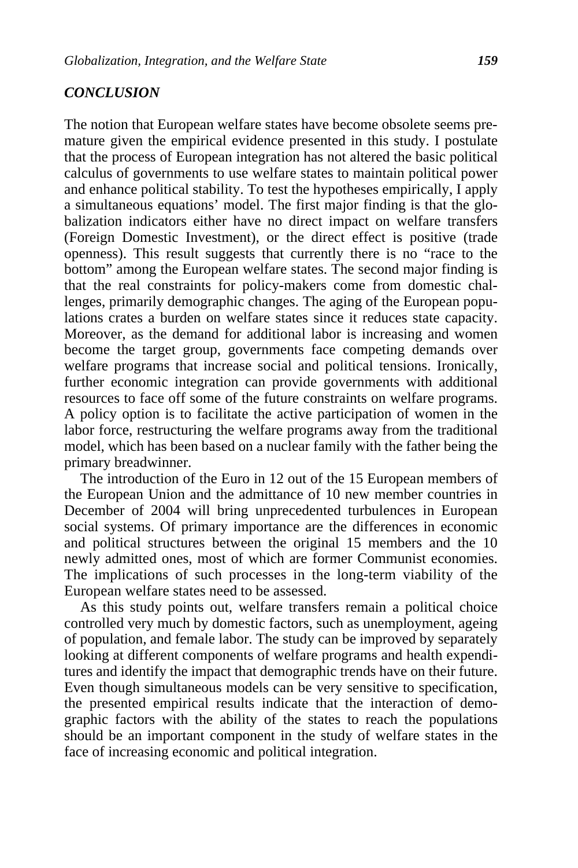#### *CONCLUSION*

The notion that European welfare states have become obsolete seems premature given the empirical evidence presented in this study. I postulate that the process of European integration has not altered the basic political calculus of governments to use welfare states to maintain political power and enhance political stability. To test the hypotheses empirically, I apply a simultaneous equations' model. The first major finding is that the globalization indicators either have no direct impact on welfare transfers (Foreign Domestic Investment), or the direct effect is positive (trade openness). This result suggests that currently there is no "race to the bottom" among the European welfare states. The second major finding is that the real constraints for policy-makers come from domestic challenges, primarily demographic changes. The aging of the European populations crates a burden on welfare states since it reduces state capacity. Moreover, as the demand for additional labor is increasing and women become the target group, governments face competing demands over welfare programs that increase social and political tensions. Ironically, further economic integration can provide governments with additional resources to face off some of the future constraints on welfare programs. A policy option is to facilitate the active participation of women in the labor force, restructuring the welfare programs away from the traditional model, which has been based on a nuclear family with the father being the primary breadwinner.

The introduction of the Euro in 12 out of the 15 European members of the European Union and the admittance of 10 new member countries in December of 2004 will bring unprecedented turbulences in European social systems. Of primary importance are the differences in economic and political structures between the original 15 members and the 10 newly admitted ones, most of which are former Communist economies. The implications of such processes in the long-term viability of the European welfare states need to be assessed.

As this study points out, welfare transfers remain a political choice controlled very much by domestic factors, such as unemployment, ageing of population, and female labor. The study can be improved by separately looking at different components of welfare programs and health expenditures and identify the impact that demographic trends have on their future. Even though simultaneous models can be very sensitive to specification, the presented empirical results indicate that the interaction of demographic factors with the ability of the states to reach the populations should be an important component in the study of welfare states in the face of increasing economic and political integration.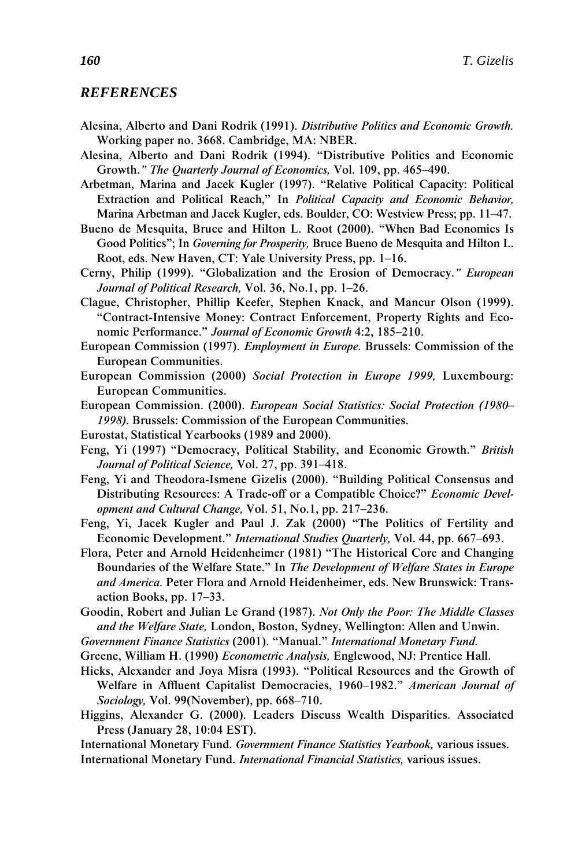#### *REFERENCES*

- Alesina, Alberto and Dani Rodrik (1991). *Distributive Politics and Economic Growth.* Working paper no. 3668. Cambridge, MA: NBER.
- Alesina, Alberto and Dani Rodrik (1994). "Distributive Politics and Economic Growth.*" The Quarterly Journal of Economics,* Vol. 109, pp. 465–490.

Arbetman, Marina and Jacek Kugler (1997). "Relative Political Capacity: Political Extraction and Political Reach," In *Political Capacity and Economic Behavior,* Marina Arbetman and Jacek Kugler, eds. Boulder, CO: Westview Press; pp. 11–47.

- Bueno de Mesquita, Bruce and Hilton L. Root (2000). "When Bad Economics Is Good Politics"; In *Governing for Prosperity,* Bruce Bueno de Mesquita and Hilton L. Root, eds. New Haven, CT: Yale University Press, pp. 1–16.
- Cerny, Philip (1999). "Globalization and the Erosion of Democracy.*" European Journal of Political Research,* Vol. 36, No.1, pp. 1–26.
- Clague, Christopher, Phillip Keefer, Stephen Knack, and Mancur Olson (1999). "Contract-Intensive Money: Contract Enforcement, Property Rights and Economic Performance." *Journal of Economic Growth* 4:2, 185–210.
- European Commission (1997). *Employment in Europe.* Brussels: Commission of the European Communities.
- European Commission (2000) *Social Protection in Europe 1999,* Luxembourg: European Communities.
- European Commission. (2000). *European Social Statistics: Social Protection (1980– 1998)*. Brussels: Commission of the European Communities.
- Eurostat, Statistical Yearbooks (1989 and 2000).
- Feng, Yi (1997) "Democracy, Political Stability, and Economic Growth." *British Journal of Political Science,* Vol. 27, pp. 391–418.
- Feng, Yi and Theodora-Ismene Gizelis (2000). "Building Political Consensus and Distributing Resources: A Trade-off or a Compatible Choice?" *Economic Development and Cultural Change,* Vol. 51, No.1, pp. 217–236.
- Feng, Yi, Jacek Kugler and Paul J. Zak (2000) "The Politics of Fertility and Economic Development." *International Studies Quarterly,* Vol. 44, pp. 667–693.
- Flora, Peter and Arnold Heidenheimer (1981) "The Historical Core and Changing Boundaries of the Welfare State." In *The Development of Welfare States in Europe and America.* Peter Flora and Arnold Heidenheimer, eds. New Brunswick: Transaction Books, pp. 17–33.
- Goodin, Robert and Julian Le Grand (1987). *Not Only the Poor: The Middle Classes and the Welfare State,* London, Boston, Sydney, Wellington: Allen and Unwin.
- *Government Finance Statistics* (2001). "Manual." *International Monetary Fund.*
- Greene, William H. (1990) *Econometric Analysis,* Englewood, NJ: Prentice Hall.
- Hicks, Alexander and Joya Misra (1993). "Political Resources and the Growth of Welfare in Affluent Capitalist Democracies, 1960–1982." *American Journal of Sociology,* Vol. 99(November), pp. 668–710.
- Higgins, Alexander G. (2000). Leaders Discuss Wealth Disparities. Associated Press (January 28, 10:04 EST).

International Monetary Fund. *Government Finance Statistics Yearbook,* various issues.

International Monetary Fund. *International Financial Statistics,* various issues.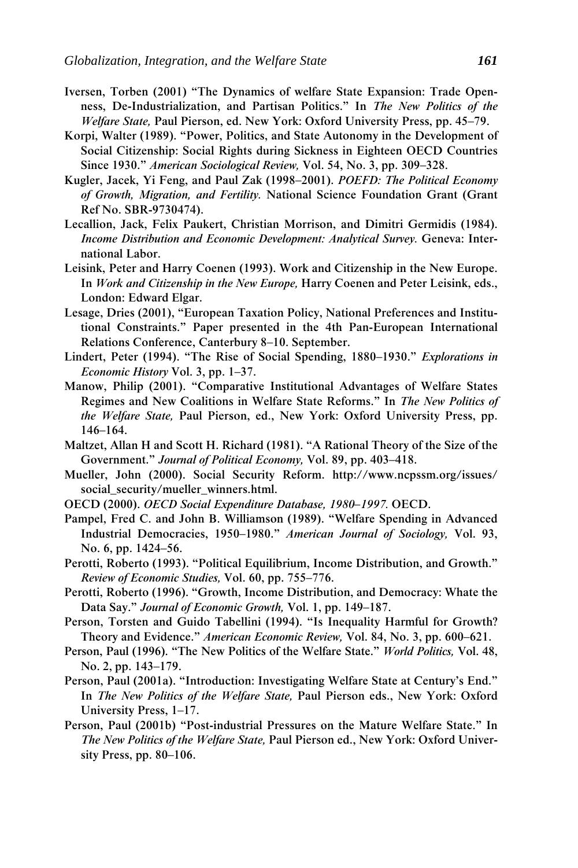- Iversen, Torben (2001) "The Dynamics of welfare State Expansion: Trade Openness, De-Industrialization, and Partisan Politics." In *The New Politics of the Welfare State,* Paul Pierson, ed. New York: Oxford University Press, pp. 45–79.
- Korpi, Walter (1989). "Power, Politics, and State Autonomy in the Development of Social Citizenship: Social Rights during Sickness in Eighteen OECD Countries Since 1930." *American Sociological Review,* Vol. 54, No. 3, pp. 309–328.
- Kugler, Jacek, Yi Feng, and Paul Zak (1998–2001). *POEFD: The Political Economy of Growth, Migration, and Fertility.* National Science Foundation Grant (Grant Ref No. SBR-9730474).
- Lecallion, Jack, Felix Paukert, Christian Morrison, and Dimitri Germidis (1984). *Income Distribution and Economic Development: Analytical Survey. Geneva: Inter*national Labor.
- Leisink, Peter and Harry Coenen (1993). Work and Citizenship in the New Europe. In *Work and Citizenship in the New Europe,* Harry Coenen and Peter Leisink, eds., London: Edward Elgar.
- Lesage, Dries (2001), "European Taxation Policy, National Preferences and Institutional Constraints." Paper presented in the 4th Pan-European International Relations Conference, Canterbury 8–10. September.
- Lindert, Peter (1994). "The Rise of Social Spending, 1880–1930." *Explorations in Economic History* Vol. 3, pp. 1–37.
- Manow, Philip (2001). "Comparative Institutional Advantages of Welfare States Regimes and New Coalitions in Welfare State Reforms." In *The New Politics of the Welfare State,* Paul Pierson, ed., New York: Oxford University Press, pp. 146–164.
- Maltzet, Allan H and Scott H. Richard (1981). "A Rational Theory of the Size of the Government." *Journal of Political Economy,* Vol. 89, pp. 403–418.
- Mueller, John (2000). Social Security Reform. http://www.ncpssm.org/issues/ social\_security/mueller\_winners.html.
- OECD (2000). *OECD Social Expenditure Database, 1980–1997.* OECD.
- Pampel, Fred C. and John B. Williamson (1989). "Welfare Spending in Advanced Industrial Democracies, 1950–1980." *American Journal of Sociology,* Vol. 93, No. 6, pp. 1424–56.
- Perotti, Roberto (1993). "Political Equilibrium, Income Distribution, and Growth." *Review of Economic Studies,* Vol. 60, pp. 755–776.
- Perotti, Roberto (1996). "Growth, Income Distribution, and Democracy: Whate the Data Say." *Journal of Economic Growth,* Vol. 1, pp. 149–187.
- Person, Torsten and Guido Tabellini (1994). "Is Inequality Harmful for Growth? Theory and Evidence." *American Economic Review,* Vol. 84, No. 3, pp. 600–621.
- Person, Paul (1996). "The New Politics of the Welfare State." *World Politics,* Vol. 48, No. 2, pp. 143–179.
- Person, Paul (2001a). "Introduction: Investigating Welfare State at Century's End." In *The New Politics of the Welfare State,* Paul Pierson eds., New York: Oxford University Press, 1–17.
- Person, Paul (2001b) "Post-industrial Pressures on the Mature Welfare State." In *The New Politics of the Welfare State,* Paul Pierson ed., New York: Oxford University Press, pp. 80–106.